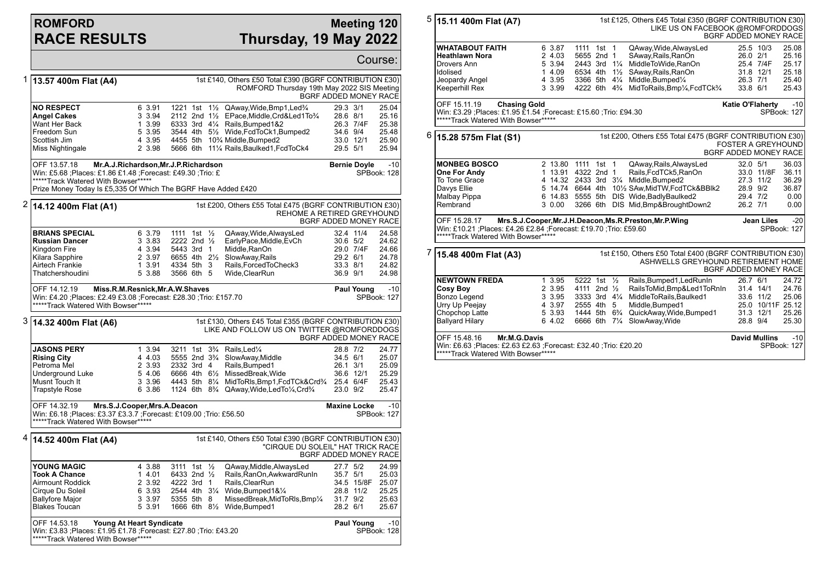## **ROMFORD RACE RESULTS**

## **Meeting 120 Thursday, 19 May 2022**

|                                                                                                                                                             |                                                                                                                                                                                                                            |                                                          |                                                                                                                                  |                                                                                                                                                                                                                                                                       |                                              |                         | Course:                                            |  |
|-------------------------------------------------------------------------------------------------------------------------------------------------------------|----------------------------------------------------------------------------------------------------------------------------------------------------------------------------------------------------------------------------|----------------------------------------------------------|----------------------------------------------------------------------------------------------------------------------------------|-----------------------------------------------------------------------------------------------------------------------------------------------------------------------------------------------------------------------------------------------------------------------|----------------------------------------------|-------------------------|----------------------------------------------------|--|
| 1                                                                                                                                                           | 1st £140, Others £50 Total £390 (BGRF CONTRIBUTION £30)<br>13.57 400m Flat (A4)<br>ROMFORD Thursday 19th May 2022 SIS Meeting<br>BGRF ADDED MONEY RACE                                                                     |                                                          |                                                                                                                                  |                                                                                                                                                                                                                                                                       |                                              |                         |                                                    |  |
|                                                                                                                                                             | <b>NO RESPECT</b><br><b>Angel Cakes</b><br>Want Her Back<br>Freedom Sun<br>Scottish Jim<br>Miss Nightingale                                                                                                                | 6 3.91<br>3 3.94<br>1 3.99<br>5 3.95<br>4 3.95<br>2 3.98 |                                                                                                                                  | 1221 1st $1\frac{1}{2}$ QAway, Wide, Bmp1, Led $\frac{3}{4}$<br>2112 2nd 11/2 EPace, Middle, Crd&Led1To3/4<br>6333 3rd 41/4 Rails, Bumped 1&2<br>3544 4th 51/2 Wide, FcdToCk1, Bumped2<br>4455 5th 10% Middle, Bumped2<br>5666 6th 111/4 Rails, Baulked 1, Fcd To Ck4 | 29.3 3/1<br>28.6 8/1<br>34.6 9/4<br>29.5 5/1 | 26.3 7/4F<br>33.0 12/1  | 25.04<br>25.16<br>25.38<br>25.48<br>25.90<br>25.94 |  |
|                                                                                                                                                             | OFF 13.57.18<br>Mr.A.J.Richardson, Mr.J.P.Richardson<br>Win: £5.68 ;Places: £1.86 £1.48 ;Forecast: £49.30 ;Trio: £<br>*****Track Watered With Bowser*****<br>Prize Money Today Is £5,335 Of Which The BGRF Have Added £420 |                                                          | <b>Bernie Doyle</b>                                                                                                              | $-10$<br>SPBook: 128                                                                                                                                                                                                                                                  |                                              |                         |                                                    |  |
|                                                                                                                                                             | $2 $ 14.12 400m Flat (A1)                                                                                                                                                                                                  |                                                          |                                                                                                                                  | 1st £200, Others £55 Total £475 (BGRF CONTRIBUTION £30)<br>REHOME A RETIRED GREYHOUND                                                                                                                                                                                 | BGRF ADDED MONEY RACE                        |                         |                                                    |  |
|                                                                                                                                                             | <b>BRIANS SPECIAL</b><br><b>Russian Dancer</b><br>Kingdom Fire<br>Kilara Sapphire<br>Airtech Frankie<br>Thatchershoudini                                                                                                   | 6 3.79<br>3 3.83<br>4 3.94<br>2 3.97<br>1 3.91<br>5 3.88 | 1111 1st $\frac{1}{2}$<br>2222 2nd $\frac{1}{2}$<br>5443 3rd 1<br>6655 4th 21/2<br>4334 5th 3<br>3566 6th 5                      | QAway, Wide, Always Led<br>EarlyPace,Middle,EvCh<br>Middle, RanOn<br>SlowAway, Rails<br>Rails, Forced To Check3<br>Wide, ClearRun                                                                                                                                     | 30.6 5/2<br>29.2 6/1<br>33.3 8/1<br>36.9 9/1 | 32.4 11/4<br>29.0 7/4F  | 24.58<br>24.62<br>24.66<br>24.78<br>24.82<br>24.98 |  |
|                                                                                                                                                             | OFF 14.12.19<br>Miss.R.M.Resnick, Mr.A.W.Shaves<br>Win: £4.20 ;Places: £2.49 £3.08 ;Forecast: £28.30 ;Trio: £157.70<br>*****Track Watered With Bowser*****                                                                 |                                                          | <b>Paul Young</b>                                                                                                                | $-10$<br>SPBook: 127                                                                                                                                                                                                                                                  |                                              |                         |                                                    |  |
| 3<br>1st £130, Others £45 Total £355 (BGRF CONTRIBUTION £30)<br>14.32 400m Flat (A6)<br>LIKE AND FOLLOW US ON TWITTER @ROMFORDDOGS<br>BGRF ADDED MONEY RACE |                                                                                                                                                                                                                            |                                                          |                                                                                                                                  |                                                                                                                                                                                                                                                                       |                                              |                         |                                                    |  |
|                                                                                                                                                             | <b>JASONS PERY</b><br><b>Rising City</b><br>Petroma Mel<br>Underground Luke<br>Musnt Touch It<br><b>Trapstyle Rose</b>                                                                                                     | 1 3.94<br>4 4.03<br>2 3.93<br>5 4.06<br>3 3.96<br>6 3.86 | 3211 1st 3 <sup>3</sup> / <sub>4</sub><br>5555 2nd 3 <sup>3</sup> / <sub>4</sub><br>2332 3rd 4<br>6666 4th 61/2<br>4443 5th 81/4 | Rails.Led <sup>1/4</sup><br>SlowAway, Middle<br>Rails, Bumped1<br>MissedBreak, Wide<br>MidToRIs, Bmp1, FcdTCk&Crd3/4 25.4 6/4F<br>1124 6th 8 <sup>3</sup> / <sub>4</sub> QAway, Wide, Led To <sup>1</sup> / <sub>4</sub> , Crd <sup>3</sup> / <sub>4</sub>            | 28.8 7/2<br>34.5 6/1<br>26.1 3/1<br>23.0 9/2 | 36.6 12/1               | 24.77<br>25.07<br>25.09<br>25.29<br>25.43<br>25.47 |  |
|                                                                                                                                                             | OFF 14.32.19<br>Mrs.S.J.Cooper, Mrs.A.Deacon<br>Win: £6.18 ;Places: £3.37 £3.3.7 ;Forecast: £109.00 ;Trio: £56.50<br>*****Track Watered With Bowser*****                                                                   |                                                          | <b>Maxine Locke</b>                                                                                                              | $-10$<br>SPBook: 127                                                                                                                                                                                                                                                  |                                              |                         |                                                    |  |
|                                                                                                                                                             | $4 $ 14.52 400m Flat (A4)                                                                                                                                                                                                  |                                                          |                                                                                                                                  | 1st £140, Others £50 Total £390 (BGRF CONTRIBUTION £30)<br>"CIRQUE DU SOLEIL" HAT TRICK RACE                                                                                                                                                                          | BGRF ADDED MONEY RACE                        |                         |                                                    |  |
|                                                                                                                                                             | YOUNG MAGIC<br><b>Took A Chance</b><br>Airmount Roddick<br>Cirque Du Soleil<br><b>Ballyfore Major</b><br><b>Blakes Toucan</b>                                                                                              | 4 3.88<br>14.01<br>2 3.92<br>6 3.93<br>3 3.97<br>5 3.91  | 3111 1st 1/2<br>6433 2nd 1/2<br>4222 3rd 1<br>2544 4th 31/4<br>5355 5th 8                                                        | QAway, Middle, Always Led<br>Rails, RanOn, Awkward RunIn<br>Rails, ClearRun<br>Wide, Bumped 1& 1/4<br>MissedBreak, MidToRIs, Bmp1/4<br>1666 6th 81/ <sub>2</sub> Wide, Bumped 1                                                                                       | 27.7 5/2<br>35.7 5/1<br>31.7 9/2<br>28.2 6/1 | 34.5 15/8F<br>28.8 11/2 | 24.99<br>25.03<br>25.07<br>25.25<br>25.63<br>25.67 |  |
| OFF 14.53.18<br>Young At Heart Syndicate<br>Win: £3.83 ;Places: £1.95 £1.78 ;Forecast: £27.80 ;Trio: £43.20<br>*****Track Watered With Bowser*****          |                                                                                                                                                                                                                            |                                                          |                                                                                                                                  |                                                                                                                                                                                                                                                                       |                                              |                         | <b>Paul Young</b><br>$-10$<br>SPBook: 128          |  |

|   | $5 $ 15.11 400m Flat (A7)<br>1st £125, Others £45 Total £350 (BGRF CONTRIBUTION £30)<br>LIKE US ON FACEBOOK @ROMFORDDOGS<br>BGRF ADDED MONEY RACE            |                                                                                                                                                                                  |                                                        |  |                                                                                                                                                                                                                                                                         |                                                    |                                                                                  |                                                           |  |
|---|--------------------------------------------------------------------------------------------------------------------------------------------------------------|----------------------------------------------------------------------------------------------------------------------------------------------------------------------------------|--------------------------------------------------------|--|-------------------------------------------------------------------------------------------------------------------------------------------------------------------------------------------------------------------------------------------------------------------------|----------------------------------------------------|----------------------------------------------------------------------------------|-----------------------------------------------------------|--|
|   | <b>WHATABOUT FAITH</b><br><b>Heathlawn Nora</b><br>Drovers Ann<br>Idolised<br>Jeopardy Angel<br>Keeperhill Rex                                               | 6 3.87<br>2 4.03<br>5 3.94<br>1 4.09<br>4 3.95<br>3 3.99                                                                                                                         | 1111 1st 1<br>5655 2nd 1<br>2443 3rd 11/4              |  | QAway, Wide, Always Led<br>SAway, Rails, RanOn<br>MiddleToWide.RanOn<br>6534 4th 11/2 SAway, Rails, RanOn<br>3366 5th 41/4 Middle, Bumped1/4<br>4222 6th 4 <sup>3</sup> / <sub>4</sub> MidToRails, Bmp <sup>1</sup> / <sub>4</sub> , FcdTCk <sup>3</sup> / <sub>4</sub> | 26.3 7/1<br>33.8 6/1                               | 25.5 10/3<br>26.0 2/1<br>25.4 7/4F<br>31.8 12/1                                  | 25.08<br>25.16<br>25.17<br>25.18<br>25.40<br>25.43        |  |
|   | OFF 15.11.19<br><b>Chasing Gold</b><br>Win: £3.29 ; Places: £1.95 £1.54 ; Forecast: £15.60 ; Trio: £94.30<br>*****Track Watered With Bowser*****             |                                                                                                                                                                                  |                                                        |  |                                                                                                                                                                                                                                                                         | <b>Katie O'Flaherty</b>                            |                                                                                  | $-10$<br>SPBook: 127                                      |  |
| 6 | 15.28 575m Flat (S1)                                                                                                                                         |                                                                                                                                                                                  |                                                        |  | 1st £200, Others £55 Total £475 (BGRF CONTRIBUTION £30)                                                                                                                                                                                                                 | <b>FOSTER A GREYHOUND</b><br>BGRF ADDED MONEY RACE |                                                                                  |                                                           |  |
|   | <b>MONBEG BOSCO</b><br>One For Andy<br>To Tone Grace<br>Davys Ellie<br>Malbay Pippa<br>Rembrand<br>OFF 15.28.17                                              | 3 0.00                                                                                                                                                                           | 2 13.80 1111 1st 1<br>1 13.91 4322 2nd 1               |  | QAway, Rails, AlwaysLed<br>Rails, FcdTCk5, RanOn<br>4 14.32 2433 3rd 31/4 Middle, Bumped 2<br>6 14.83 5555 5th DIS Wide, Badly Baulked 2<br>3266 6th DIS Mid, Bmp& Brought Down 2                                                                                       | 32.0 5/1<br>28.9 9/2<br>29.4 7/2<br>26.2 7/1       | 33.0 11/8F<br>27.3 11/2<br>Jean Liles                                            | 36.03<br>36.11<br>36.29<br>36.87<br>0.00<br>0.00<br>$-20$ |  |
|   |                                                                                                                                                              | Mrs.S.J.Cooper, Mr.J.H.Deacon, Ms.R.Preston, Mr.P.Wing<br>Win: £10.21 ;Places: £4.26 £2.84 ;Forecast: £19.70 ;Trio: £59.60<br>SPBook: 127<br>*****Track Watered With Bowser***** |                                                        |  |                                                                                                                                                                                                                                                                         |                                                    |                                                                                  |                                                           |  |
|   | 15.48 400m Flat (A3)                                                                                                                                         |                                                                                                                                                                                  |                                                        |  | 1st £150, Others £50 Total £400 (BGRF CONTRIBUTION £30)<br>ASHWELLS GREYHOUND RETIREMENT HOME                                                                                                                                                                           | <b>BGRF ADDED MONEY RACE</b>                       |                                                                                  |                                                           |  |
|   | <b>NEWTOWN FREDA</b><br><b>Cosy Boy</b><br><b>Bonzo Legend</b><br>Urry Up Peejay<br>Chopchop Latte<br><b>Ballyard Hilary</b><br>OFF 15.48.16<br>Mr.M.G.Davis | 1 3.95<br>2 3.95<br>3 3.95<br>4 3.97<br>5 3.93<br>6 4.02                                                                                                                         | 5222 1st 1/ <sub>2</sub><br>4111 2nd 1/2<br>2555 4th 5 |  | Rails, Bumped 1, Led Run In<br>RailsToMid,Bmp&Led1ToRnIn<br>3333 3rd 41/4 MiddleToRails, Baulked1<br>Middle, Bumped1<br>1444 5th 6 <sup>3</sup> / <sub>4</sub> QuickAway, Wide, Bumped 1<br>6666 6th 71/4 SlowAway, Wide                                                | 26.7 6/1<br>28.8 9/4                               | 31.4 14/1<br>33.6 11/2<br>25.0 10/11F 25.12<br>31.3 12/1<br><b>David Mullins</b> | 24.72<br>24.76<br>25.06<br>25.26<br>25.30<br>$-10$        |  |
|   | Win: £6.63 ;Places: £2.63 £2.63 ;Forecast: £32.40 ;Trio: £20.20<br>*****Track Watered With Bowser*****                                                       |                                                                                                                                                                                  |                                                        |  |                                                                                                                                                                                                                                                                         |                                                    |                                                                                  | SPBook: 127                                               |  |